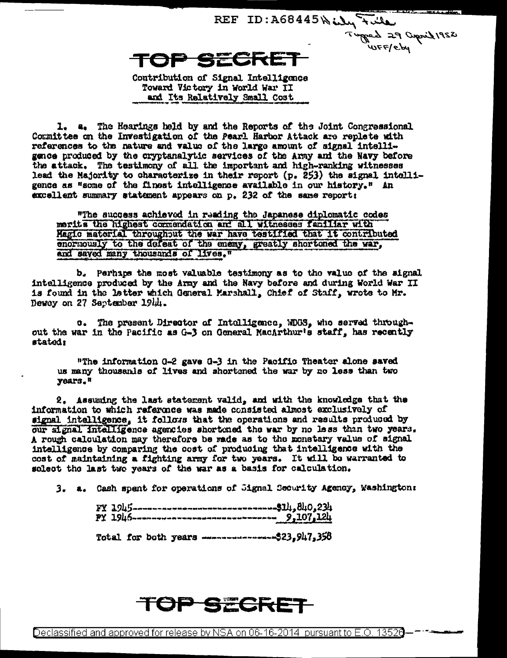REF ID: A68445 Willy Full Tugged 29 Cupril 1952 TOP SECRE

Contribution of Signal Intelligence Toward Victory in World War II and Its Relatively Small Cost

1. a. The Hearings held by and the Reports of the Joint Congressional Committee on the Investigation of the Pearl Harbor Attack are replete with references to the nature and value of the large amount of signal intelligence produced by the cryptanalytic services of the Army and the Navy before the attack. The testimony of all the important and high-ranking witnesses lead the Majority to characterize in their report (p. 253) the signal intolligence as "some of the finest intelligence available in our history." An excellent summary statement appears on p. 232 of the same report:

"The success achieved in reading the Japanese diplomatic codes merits the highest commendation and all witnesses familiar with Magic material throughout the war have testified that it contributed enormously to the defeat of the enemy, greatly shortoned the war. and saved many thousands of lives."

b. Perhaps the most valuable testimony as to the value of the signal intelligence produced by the Army and the Navy before and during World War II is found in the latter which General Marshall, Chief of Staff, wrote to Mr. Dewey on 27 September 1944.

c. The present Director of Intelligence, WDOS, who served throughout the war in the Pacific as G-3 on General MacArthur's staff, has recently stated:

"The information 0-2 gave 0-3 in the Pacific Theater alone saved us many thousands of lives and shortened the war by no less than two years."

2. Assuming the last statement valid, and with the knowledge that the information to which reference was made consisted almost exclusively of signal intelligence. it follows that the operations and results produced by our signal intelligence agencies shortened the war by no less than two years. A rough calculation may therefore be made as to the monetary value of signal intelligence by comparing the cost of producing that intelligence with the cost of maintaining a fighting army for two years. It will be warranted to solect the last two years of the war as a basis for calculation.

3. a. Cash spent for operations of Jignal Security Agency, Washington:

Total for both years -----------------\$23.947.358

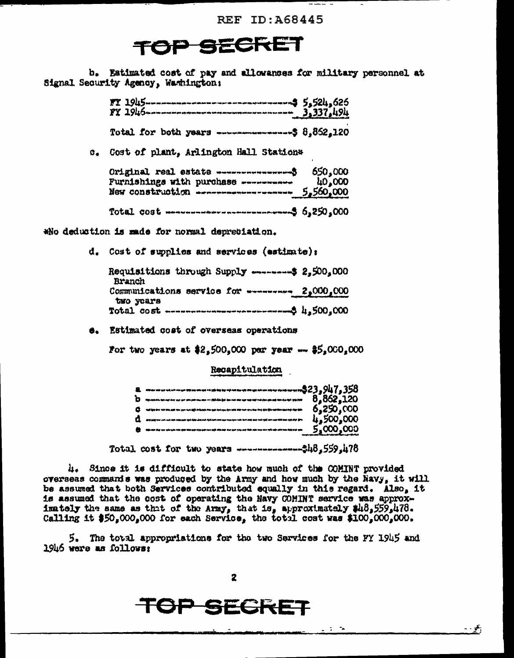**REF ID: A68445** 

## TOP SECRET

b. Estimated cost of pay and allowances for military personnel at Signal Security Agency, Washington;

> $\frac{1945}{1945}$ Total for both years ----------------- \$ 8.862.120

c. Cost of plant. Arlington Hall Station\*

| Original real estate -------------------\$<br>Furnishings with purchase ----------<br>New construction -------------------- 5,560,000                                                                                                                                                                             | 650,000<br>40,000 |
|-------------------------------------------------------------------------------------------------------------------------------------------------------------------------------------------------------------------------------------------------------------------------------------------------------------------|-------------------|
| Total cost $\frac{1}{2}$ cost $\frac{1}{2}$ $\frac{1}{2}$ $\frac{1}{2}$ $\frac{1}{2}$ $\frac{1}{2}$ $\frac{1}{2}$ $\frac{1}{2}$ $\frac{1}{2}$ $\frac{1}{2}$ $\frac{1}{2}$ $\frac{1}{2}$ $\frac{1}{2}$ $\frac{1}{2}$ $\frac{1}{2}$ $\frac{1}{2}$ $\frac{1}{2}$ $\frac{1}{2}$ $\frac{1}{2}$ $\frac{1}{2}$ $\frac{1$ |                   |

Who deduction is made for normal depreciation.

d. Cost of supplies and services (estimate);

| Requisitions through Supply --------- \$ 2.500.000<br>Branch |  |
|--------------------------------------------------------------|--|
| Communications service for ********* 2,000,000               |  |
| two years                                                    |  |

6. Estimated cost of overseas operations

For two years at \$2,500,000 per year -- \$5,000,000

Recapitulation

| -------------------------------------\$23,947.358                                                                                                                                                                                |          |
|----------------------------------------------------------------------------------------------------------------------------------------------------------------------------------------------------------------------------------|----------|
| وقادياتها يتكرمانه وتدجله معارجين بعدرتك بعدمينه وبالوارث وأوجوان سمتهم معرضهم بمار بمار تجدموهم بتبديلهم فالمرتجع                                                                                                               | 862,120  |
| tal ipo dre tek kim del tito per tot dijk tribatje kin ant teo sen tek tito ent are dos ins dad ijin uni kim da tajo dal din                                                                                                     | -250.000 |
| می بان بنان مده برای ماه برای بانه بان شد ما چاه ماه شد با بان مت برای پای بان بان بان ماه بان بان مت بند کند ا<br>این بان بنان ماه برای ماه بان بان بان بان بان بان ماه بان بان مت برای بان بان بان بان بان بان امه بان بند بان | 500,000  |
| .<br>الله خود وجه عام الله حق تأليد بعد بعد الله، تأليد ترديد الله على الله على الله عنه الله حق الله على دود ملوحان                                                                                                             |          |
|                                                                                                                                                                                                                                  |          |

4. Since it is difficult to state how much of the COMINT provided overseas commanis was produced by the Army and how much by the Navy, it will be assumed that both Services contributed equally in this regard. Also, it is assumed that the cost of operating the Navy COMINT service was approximately the same as that of the Army, that is, approximately \$48,559,478. Calling it \$50,000,000 for each Service, the total cost was \$100,000,000.

5. The total appropriations for the two Services for the FY 1945 and 1946 were as follows:

 $\mathbf{z}$ 

## TOP SECRET

 $\sim$   $\mathcal{F}_{\rm f}$